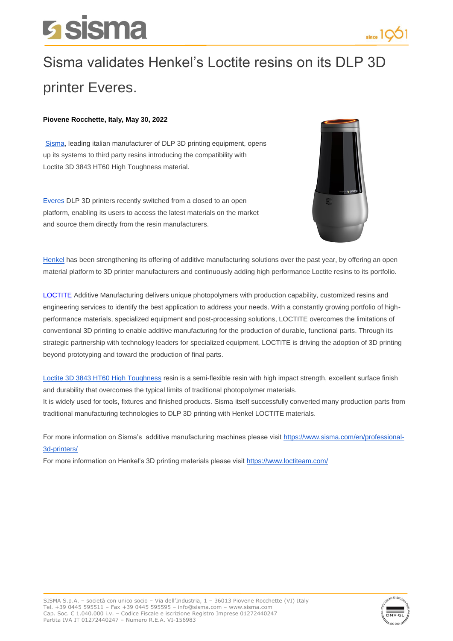## **Sisma**



## Sisma validates Henkel's Loctite resins on its DLP 3D printer Everes.

## **Piovene Rocchette, Italy, May 30, 2022**

[Sisma,](https://www.sisma.com/en/) leading italian manufacturer of DLP 3D printing equipment, opens up its systems to third party resins introducing the compatibility with Loctite 3D 3843 HT60 High Toughness material.

[Everes](https://www.sisma.com/en/products/everes-uno/) DLP 3D printers recently switched from a closed to an open platform, enabling its users to access the latest materials on the market and source them directly from the resin manufacturers.



[Henkel](https://www.henkel.com/) has been strengthening its offering of additive manufacturing solutions over the past year, by offering an open material platform to 3D printer manufacturers and continuously adding high performance Loctite resins to its portfolio.

[LOCTITE](https://www.loctiteam.com/) Additive Manufacturing delivers unique photopolymers with production capability, customized resins and engineering services to identify the best application to address your needs. With a constantly growing portfolio of highperformance materials, specialized equipment and post-processing solutions, LOCTITE overcomes the limitations of conventional 3D printing to enable additive manufacturing for the production of durable, functional parts. Through its strategic partnership with technology leaders for specialized equipment, LOCTITE is driving the adoption of 3D printing beyond prototyping and toward the production of final parts.

[Loctite 3D 3843 HT60 High Toughness](https://www.loctiteam.com/3843_tough/) resin is a semi-flexible resin with high impact strength, excellent surface finish and durability that overcomes the typical limits of traditional photopolymer materials.

It is widely used for tools, fixtures and finished products. Sisma itself successfully converted many production parts from traditional manufacturing technologies to DLP 3D printing with Henkel LOCTITE materials.

For more information on Sisma's additive manufacturing machines please visit [https://www.sisma.com/en/professional-](https://www.sisma.com/en/professional-3d-printers/)[3d-printers/](https://www.sisma.com/en/professional-3d-printers/)

For more information on Henkel's 3D printing materials please visit<https://www.loctiteam.com/>